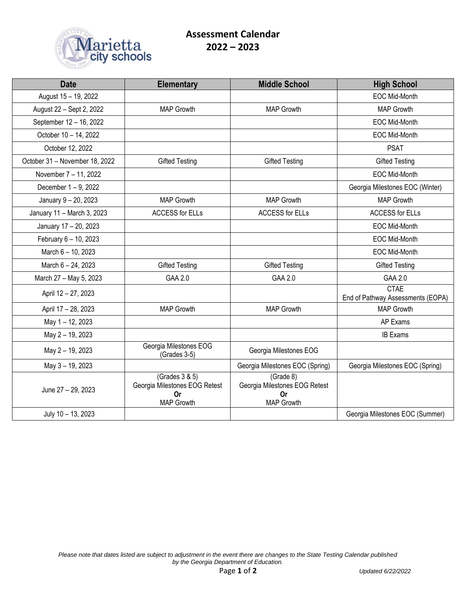

| <b>Date</b>                    | <b>Elementary</b>                                                                 | <b>Middle School</b>                                                  | <b>High School</b>                               |
|--------------------------------|-----------------------------------------------------------------------------------|-----------------------------------------------------------------------|--------------------------------------------------|
| August 15 - 19, 2022           |                                                                                   |                                                                       | <b>EOC Mid-Month</b>                             |
| August 22 - Sept 2, 2022       | <b>MAP Growth</b>                                                                 | <b>MAP Growth</b>                                                     | <b>MAP Growth</b>                                |
| September 12 - 16, 2022        |                                                                                   |                                                                       | <b>EOC Mid-Month</b>                             |
| October 10 - 14, 2022          |                                                                                   |                                                                       | <b>EOC Mid-Month</b>                             |
| October 12, 2022               |                                                                                   |                                                                       | <b>PSAT</b>                                      |
| October 31 - November 18, 2022 | <b>Gifted Testing</b>                                                             | <b>Gifted Testing</b>                                                 | <b>Gifted Testing</b>                            |
| November 7 - 11, 2022          |                                                                                   |                                                                       | EOC Mid-Month                                    |
| December 1 - 9, 2022           |                                                                                   |                                                                       | Georgia Milestones EOC (Winter)                  |
| January 9 - 20, 2023           | <b>MAP Growth</b>                                                                 | <b>MAP Growth</b>                                                     | <b>MAP Growth</b>                                |
| January 11 - March 3, 2023     | <b>ACCESS for ELLs</b>                                                            | <b>ACCESS for ELLs</b>                                                | <b>ACCESS for ELLs</b>                           |
| January 17 - 20, 2023          |                                                                                   |                                                                       | <b>EOC Mid-Month</b>                             |
| February 6 - 10, 2023          |                                                                                   |                                                                       | <b>EOC Mid-Month</b>                             |
| March 6 - 10, 2023             |                                                                                   |                                                                       | EOC Mid-Month                                    |
| March 6 - 24, 2023             | <b>Gifted Testing</b>                                                             | <b>Gifted Testing</b>                                                 | <b>Gifted Testing</b>                            |
| March 27 - May 5, 2023         | GAA 2.0                                                                           | GAA 2.0                                                               | GAA 2.0                                          |
| April 12 - 27, 2023            |                                                                                   |                                                                       | <b>CTAE</b><br>End of Pathway Assessments (EOPA) |
| April 17 - 28, 2023            | <b>MAP Growth</b>                                                                 | <b>MAP Growth</b>                                                     | <b>MAP Growth</b>                                |
| May 1-12, 2023                 |                                                                                   |                                                                       | AP Exams                                         |
| May 2 - 19, 2023               |                                                                                   |                                                                       | <b>IB Exams</b>                                  |
| May 2 - 19, 2023               | Georgia Milestones EOG<br>(Grades 3-5)                                            | Georgia Milestones EOG                                                |                                                  |
| May 3 - 19, 2023               |                                                                                   | Georgia Milestones EOC (Spring)                                       | Georgia Milestones EOC (Spring)                  |
| June 27 - 29, 2023             | (Grades 3 & 5)<br>Georgia Milestones EOG Retest<br><b>Or</b><br><b>MAP Growth</b> | (Grade 8)<br>Georgia Milestones EOG Retest<br><b>Or</b><br>MAP Growth |                                                  |
| July 10 - 13, 2023             |                                                                                   |                                                                       | Georgia Milestones EOC (Summer)                  |